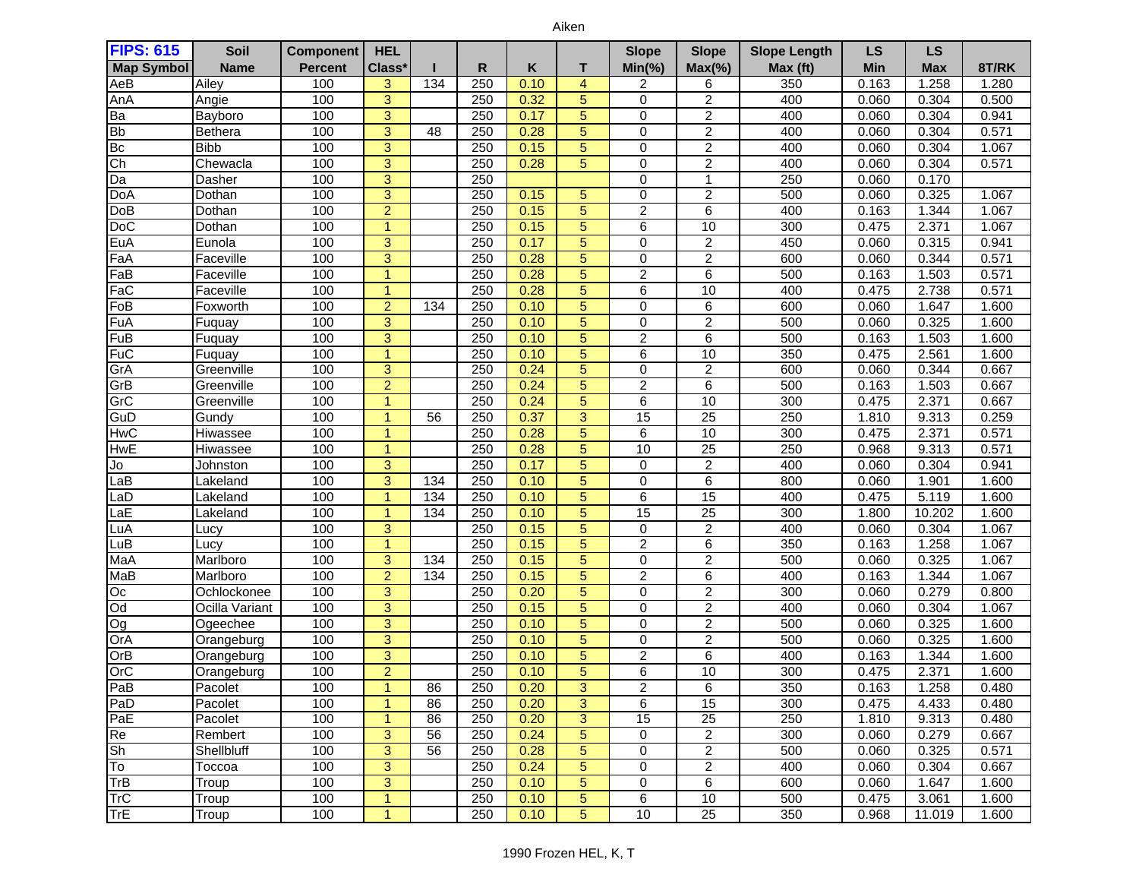| <b>FIPS: 615</b>  | Soil           | <b>Component</b> | <b>HEL</b>     |     |     |      |                | <b>Slope</b>            | <b>Slope</b>            | <b>Slope Length</b> | <b>LS</b>  | <b>LS</b>  |       |
|-------------------|----------------|------------------|----------------|-----|-----|------|----------------|-------------------------|-------------------------|---------------------|------------|------------|-------|
| <b>Map Symbol</b> | <b>Name</b>    | <b>Percent</b>   | Class*         |     | R   | Κ    | т              | $Min(\% )$              | $Max(\% )$              | Max (ft)            | <b>Min</b> | <b>Max</b> | 8T/RK |
| AeB               | Ailey          | 100              | 3              | 134 | 250 | 0.10 | $\overline{4}$ | 2                       | 6                       | 350                 | 0.163      | 1.258      | 1.280 |
| AnA               | Angie          | 100              | 3              |     | 250 | 0.32 | 5              | 0                       | $\overline{c}$          | 400                 | 0.060      | 0.304      | 0.500 |
| Ba                | Bayboro        | 100              | $\overline{3}$ |     | 250 | 0.17 | $\overline{5}$ | 0                       | $\overline{2}$          | 400                 | 0.060      | 0.304      | 0.941 |
| <b>Bb</b>         | Bethera        | 100              | $\overline{3}$ | 48  | 250 | 0.28 | $\overline{5}$ | 0                       | $\overline{2}$          | 400                 | 0.060      | 0.304      | 0.571 |
| B <sub>c</sub>    | <b>Bibb</b>    | 100              | $\overline{3}$ |     | 250 | 0.15 | 5              | 0                       | $\overline{2}$          | 400                 | 0.060      | 0.304      | 1.067 |
| $\overline{Ch}$   | Chewacla       | 100              | $\overline{3}$ |     | 250 | 0.28 | 5              | 0                       | $\overline{\mathbf{c}}$ | 400                 | 0.060      | 0.304      | 0.571 |
| Da                | Dasher         | 100              | 3              |     | 250 |      |                | $\mathbf 0$             | 1                       | 250                 | 0.060      | 0.170      |       |
| DoA               | Dothan         | 100              | $\overline{3}$ |     | 250 | 0.15 | 5              | 0                       | $\overline{2}$          | 500                 | 0.060      | 0.325      | 1.067 |
| DoB               | Dothan         | 100              | $\overline{2}$ |     | 250 | 0.15 | $\overline{5}$ | $\overline{c}$          | 6                       | 400                 | 0.163      | 1.344      | 1.067 |
| DoC               | Dothan         | 100              | $\overline{1}$ |     | 250 | 0.15 | 5              | 6                       | 10                      | 300                 | 0.475      | 2.371      | 1.067 |
| EuA               | Eunola         | 100              | 3              |     | 250 | 0.17 | 5              | 0                       | $\overline{c}$          | 450                 | 0.060      | 0.315      | 0.941 |
| FaA               | Faceville      | 100              | $\overline{3}$ |     | 250 | 0.28 | $\overline{5}$ | 0                       | $\overline{2}$          | 600                 | 0.060      | 0.344      | 0.571 |
| FaB               | Faceville      | 100              | $\overline{1}$ |     | 250 | 0.28 | 5              | $\overline{\mathbf{c}}$ | 6                       | 500                 | 0.163      | 1.503      | 0.571 |
| FaC               | Faceville      | 100              | $\overline{1}$ |     | 250 | 0.28 | $\overline{5}$ | 6                       | 10                      | 400                 | 0.475      | 2.738      | 0.571 |
| FoB               | Foxworth       | 100              | $\overline{2}$ | 134 | 250 | 0.10 | $\overline{5}$ | $\Omega$                | $\overline{6}$          | 600                 | 0.060      | 1.647      | 1.600 |
| FuA               | Fuquay         | 100              | 3              |     | 250 | 0.10 | 5              | $\Omega$                | $\overline{c}$          | 500                 | 0.060      | 0.325      | 1.600 |
| FuB               | Fuquay         | 100              | $\overline{3}$ |     | 250 | 0.10 | $\overline{5}$ | 2                       | $\overline{6}$          | 500                 | 0.163      | 1.503      | 1.600 |
| $F\overline{u}C$  | Fuquay         | 100              | $\overline{1}$ |     | 250 | 0.10 | 5              | 6                       | 10                      | 350                 | 0.475      | 2.561      | 1.600 |
| GrA               | Greenville     | 100              | 3              |     | 250 | 0.24 | $\overline{5}$ | 0                       | $\boldsymbol{2}$        | 600                 | 0.060      | 0.344      | 0.667 |
| GrB               | Greenville     | 100              | $\overline{a}$ |     | 250 | 0.24 | $\overline{5}$ | 2                       | 6                       | 500                 | 0.163      | 1.503      | 0.667 |
| GrC               | Greenville     | 100              | $\overline{1}$ |     | 250 | 0.24 | $\overline{5}$ | 6                       | 10                      | 300                 | 0.475      | 2.371      | 0.667 |
| GuD               | Gundy          | 100              | $\overline{1}$ | 56  | 250 | 0.37 | $\overline{3}$ | $\overline{15}$         | $\overline{25}$         | 250                 | 1.810      | 9.313      | 0.259 |
| <b>HwC</b>        | Hiwassee       | 100              | $\overline{1}$ |     | 250 | 0.28 | 5              | 6                       | 10                      | 300                 | 0.475      | 2.371      | 0.571 |
| <b>HwE</b>        | Hiwassee       | 100              | 1              |     | 250 | 0.28 | 5              | 10                      | $\overline{25}$         | 250                 | 0.968      | 9.313      | 0.571 |
| Jo                | Johnston       | 100              | 3              |     | 250 | 0.17 | $\overline{5}$ | 0                       | $\boldsymbol{2}$        | 400                 | 0.060      | 0.304      | 0.941 |
| LaB               | Lakeland       | 100              | $\overline{3}$ | 134 | 250 | 0.10 | $\overline{5}$ | $\mathbf 0$             | $\overline{6}$          | 800                 | 0.060      | 1.901      | 1.600 |
| LaD               | Lakeland       | 100              | $\overline{1}$ | 134 | 250 | 0.10 | 5              | 6                       | $\overline{15}$         | 400                 | 0.475      | 5.119      | 1.600 |
| LaE               | Lakeland       | 100              | $\overline{1}$ | 134 | 250 | 0.10 | $\overline{5}$ | $\overline{15}$         | $\overline{25}$         | 300                 | 1.800      | 10.202     | 1.600 |
| LuA               | Lucy           | 100              | 3              |     | 250 | 0.15 | 5              | $\mathbf 0$             | $\overline{2}$          | 400                 | 0.060      | 0.304      | 1.067 |
| LuB               | Lucy           | 100              | $\overline{1}$ |     | 250 | 0.15 | 5              | $\overline{2}$          | 6                       | 350                 | 0.163      | 1.258      | 1.067 |
| MaA               | Marlboro       | 100              | 3              | 134 | 250 | 0.15 | $\overline{5}$ | 0                       | $\overline{\mathbf{c}}$ | 500                 | 0.060      | 0.325      | 1.067 |
| MaB               | Marlboro       | 100              | $\overline{2}$ | 134 | 250 | 0.15 | $\overline{5}$ | $\overline{2}$          | $6\phantom{1}6$         | 400                 | 0.163      | 1.344      | 1.067 |
| Oc                | Ochlockonee    | 100              | $\overline{3}$ |     | 250 | 0.20 | 5              | 0                       | $\overline{2}$          | 300                 | 0.060      | 0.279      | 0.800 |
| pO                | Ocilla Variant | 100              | $\overline{3}$ |     | 250 | 0.15 | $\overline{5}$ | 0                       | 2                       | 400                 | 0.060      | 0.304      | 1.067 |
| Og                | Ogeechee       | 100              | $\overline{3}$ |     | 250 | 0.10 | 5              | 0                       | $\overline{2}$          | 500                 | 0.060      | 0.325      | 1.600 |
| OrA               | Orangeburg     | 100              | 3              |     | 250 | 0.10 | 5              | 0                       | $\overline{c}$          | 500                 | 0.060      | 0.325      | 1.600 |
| OrB               | Orangeburg     | 100              | $\overline{3}$ |     | 250 | 0.10 | $\overline{5}$ | $\overline{2}$          | $\overline{6}$          | 400                 | 0.163      | 1.344      | 1.600 |
| OrC               | Orangeburg     | 100              | $\overline{2}$ |     | 250 | 0.10 | 5              | 6                       | 10                      | 300                 | 0.475      | 2.371      | 1.600 |
| PaB               | Pacolet        | 100              |                | 86  | 250 | 0.20 | 3              | 2                       | 6                       | 350                 | 0.163      | 1.258      | 0.480 |
| PaD               | Pacolet        | 100              | 1              | 86  | 250 | 0.20 | 3              | 6                       | 15                      | 300                 | 0.475      | 4.433      | 0.480 |
| PaE               | Pacolet        | 100              | $\overline{1}$ | 86  | 250 | 0.20 | 3              | 15                      | 25                      | 250                 | 1.810      | 9.313      | 0.480 |
| Re                | Rembert        | 100              | 3              | 56  | 250 | 0.24 | $\overline{5}$ | 0                       | $\overline{2}$          | 300                 | 0.060      | 0.279      | 0.667 |
| <b>Sh</b>         | Shellbluff     | 100              | 3              | 56  | 250 | 0.28 | 5              | 0                       | $\overline{c}$          | 500                 | 0.060      | 0.325      | 0.571 |
| To                | Toccoa         | 100              | 3              |     | 250 | 0.24 | $\overline{5}$ | 0                       | $\overline{c}$          | 400                 | 0.060      | 0.304      | 0.667 |
| TrB               | Troup          | 100              | 3              |     | 250 | 0.10 | 5              | 0                       | 6                       | 600                 | 0.060      | 1.647      | 1.600 |
| <b>TrC</b>        | Troup          | 100              | 1              |     | 250 | 0.10 | 5              | 6                       | 10                      | 500                 | 0.475      | 3.061      | 1.600 |
| TrE               | Troup          | 100              | $\overline{1}$ |     | 250 | 0.10 | 5              | 10                      | $\overline{25}$         | 350                 | 0.968      | 11.019     | 1.600 |